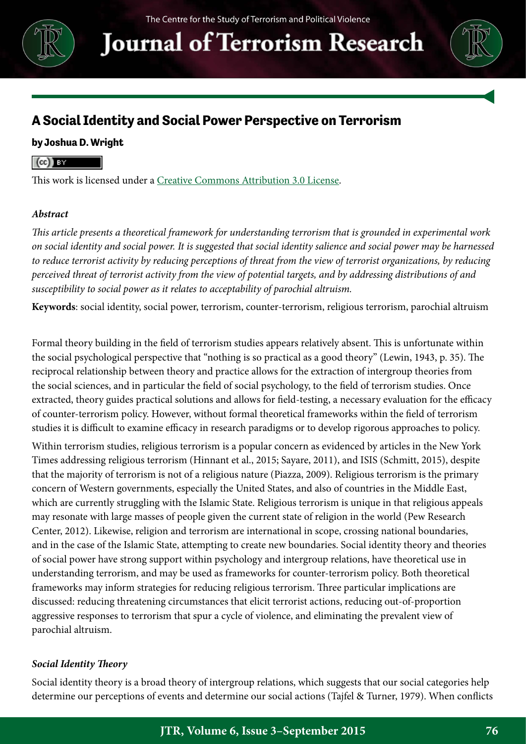

**Journal of Terrorism Research** 



### **A Social Identity and Social Power Perspective on Terrorism**

### **by Joshua D. Wright**

#### $(cc)$  BY

This work is licensed under a [Creative Commons Attribution 3.0 License.](http://creativecommons.org/licenses/by/3.0/)

### *Abstract*

*This article presents a theoretical framework for understanding terrorism that is grounded in experimental work on social identity and social power. It is suggested that social identity salience and social power may be harnessed to reduce terrorist activity by reducing perceptions of threat from the view of terrorist organizations, by reducing perceived threat of terrorist activity from the view of potential targets, and by addressing distributions of and susceptibility to social power as it relates to acceptability of parochial altruism.*

**Keywords**: social identity, social power, terrorism, counter-terrorism, religious terrorism, parochial altruism

Formal theory building in the field of terrorism studies appears relatively absent. This is unfortunate within the social psychological perspective that "nothing is so practical as a good theory" (Lewin, 1943, p. 35). The reciprocal relationship between theory and practice allows for the extraction of intergroup theories from the social sciences, and in particular the field of social psychology, to the field of terrorism studies. Once extracted, theory guides practical solutions and allows for field-testing, a necessary evaluation for the efficacy of counter-terrorism policy. However, without formal theoretical frameworks within the field of terrorism studies it is difficult to examine efficacy in research paradigms or to develop rigorous approaches to policy.

Within terrorism studies, religious terrorism is a popular concern as evidenced by articles in the New York Times addressing religious terrorism (Hinnant et al., 2015; Sayare, 2011), and ISIS (Schmitt, 2015), despite that the majority of terrorism is not of a religious nature (Piazza, 2009). Religious terrorism is the primary concern of Western governments, especially the United States, and also of countries in the Middle East, which are currently struggling with the Islamic State. Religious terrorism is unique in that religious appeals may resonate with large masses of people given the current state of religion in the world (Pew Research Center, 2012). Likewise, religion and terrorism are international in scope, crossing national boundaries, and in the case of the Islamic State, attempting to create new boundaries. Social identity theory and theories of social power have strong support within psychology and intergroup relations, have theoretical use in understanding terrorism, and may be used as frameworks for counter-terrorism policy. Both theoretical frameworks may inform strategies for reducing religious terrorism. Three particular implications are discussed: reducing threatening circumstances that elicit terrorist actions, reducing out-of-proportion aggressive responses to terrorism that spur a cycle of violence, and eliminating the prevalent view of parochial altruism.

### *Social Identity Theory*

Social identity theory is a broad theory of intergroup relations, which suggests that our social categories help determine our perceptions of events and determine our social actions (Tajfel & Turner, 1979). When conflicts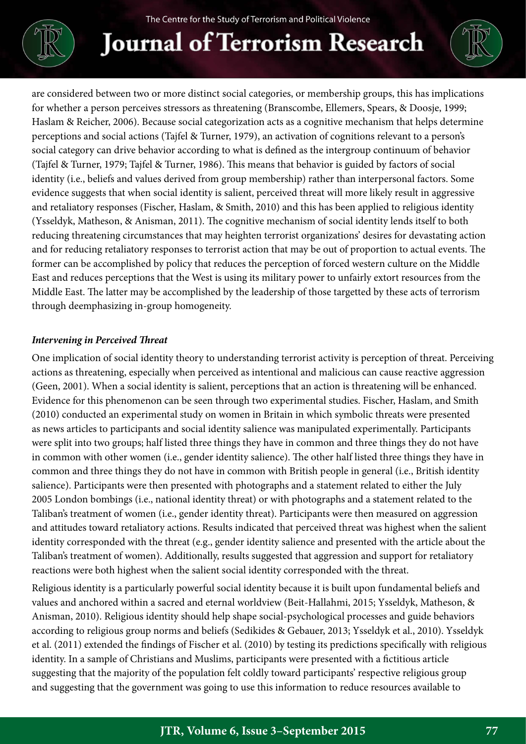# **Journal of Terrorism Research**

are considered between two or more distinct social categories, or membership groups, this has implications for whether a person perceives stressors as threatening (Branscombe, Ellemers, Spears, & Doosje, 1999; Haslam & Reicher, 2006). Because social categorization acts as a cognitive mechanism that helps determine perceptions and social actions (Tajfel & Turner, 1979), an activation of cognitions relevant to a person's social category can drive behavior according to what is defined as the intergroup continuum of behavior (Tajfel & Turner, 1979; Tajfel & Turner, 1986). This means that behavior is guided by factors of social identity (i.e., beliefs and values derived from group membership) rather than interpersonal factors. Some evidence suggests that when social identity is salient, perceived threat will more likely result in aggressive and retaliatory responses (Fischer, Haslam, & Smith, 2010) and this has been applied to religious identity (Ysseldyk, Matheson, & Anisman, 2011). The cognitive mechanism of social identity lends itself to both reducing threatening circumstances that may heighten terrorist organizations' desires for devastating action and for reducing retaliatory responses to terrorist action that may be out of proportion to actual events. The former can be accomplished by policy that reduces the perception of forced western culture on the Middle East and reduces perceptions that the West is using its military power to unfairly extort resources from the Middle East. The latter may be accomplished by the leadership of those targetted by these acts of terrorism through deemphasizing in-group homogeneity.

### *Intervening in Perceived Threat*

One implication of social identity theory to understanding terrorist activity is perception of threat. Perceiving actions as threatening, especially when perceived as intentional and malicious can cause reactive aggression (Geen, 2001). When a social identity is salient, perceptions that an action is threatening will be enhanced. Evidence for this phenomenon can be seen through two experimental studies. Fischer, Haslam, and Smith (2010) conducted an experimental study on women in Britain in which symbolic threats were presented as news articles to participants and social identity salience was manipulated experimentally. Participants were split into two groups; half listed three things they have in common and three things they do not have in common with other women (i.e., gender identity salience). The other half listed three things they have in common and three things they do not have in common with British people in general (i.e., British identity salience). Participants were then presented with photographs and a statement related to either the July 2005 London bombings (i.e., national identity threat) or with photographs and a statement related to the Taliban's treatment of women (i.e., gender identity threat). Participants were then measured on aggression and attitudes toward retaliatory actions. Results indicated that perceived threat was highest when the salient identity corresponded with the threat (e.g., gender identity salience and presented with the article about the Taliban's treatment of women). Additionally, results suggested that aggression and support for retaliatory reactions were both highest when the salient social identity corresponded with the threat.

Religious identity is a particularly powerful social identity because it is built upon fundamental beliefs and values and anchored within a sacred and eternal worldview (Beit-Hallahmi, 2015; Ysseldyk, Matheson, & Anisman, 2010). Religious identity should help shape social-psychological processes and guide behaviors according to religious group norms and beliefs (Sedikides & Gebauer, 2013; Ysseldyk et al., 2010). Ysseldyk et al. (2011) extended the findings of Fischer et al. (2010) by testing its predictions specifically with religious identity. In a sample of Christians and Muslims, participants were presented with a fictitious article suggesting that the majority of the population felt coldly toward participants' respective religious group and suggesting that the government was going to use this information to reduce resources available to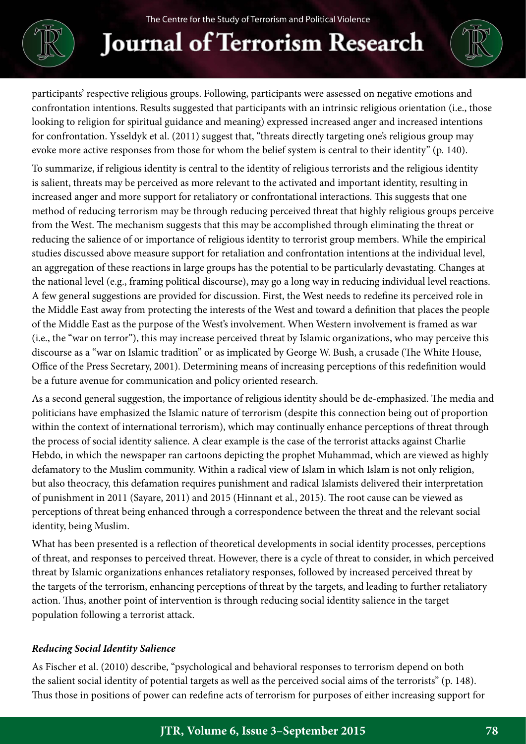

**Journal of Terrorism Research** 

participants' respective religious groups. Following, participants were assessed on negative emotions and confrontation intentions. Results suggested that participants with an intrinsic religious orientation (i.e., those looking to religion for spiritual guidance and meaning) expressed increased anger and increased intentions for confrontation. Ysseldyk et al. (2011) suggest that, "threats directly targeting one's religious group may evoke more active responses from those for whom the belief system is central to their identity" (p. 140).

To summarize, if religious identity is central to the identity of religious terrorists and the religious identity is salient, threats may be perceived as more relevant to the activated and important identity, resulting in increased anger and more support for retaliatory or confrontational interactions. This suggests that one method of reducing terrorism may be through reducing perceived threat that highly religious groups perceive from the West. The mechanism suggests that this may be accomplished through eliminating the threat or reducing the salience of or importance of religious identity to terrorist group members. While the empirical studies discussed above measure support for retaliation and confrontation intentions at the individual level, an aggregation of these reactions in large groups has the potential to be particularly devastating. Changes at the national level (e.g., framing political discourse), may go a long way in reducing individual level reactions. A few general suggestions are provided for discussion. First, the West needs to redefine its perceived role in the Middle East away from protecting the interests of the West and toward a definition that places the people of the Middle East as the purpose of the West's involvement. When Western involvement is framed as war (i.e., the "war on terror"), this may increase perceived threat by Islamic organizations, who may perceive this discourse as a "war on Islamic tradition" or as implicated by George W. Bush, a crusade (The White House, Office of the Press Secretary, 2001). Determining means of increasing perceptions of this redefinition would be a future avenue for communication and policy oriented research.

As a second general suggestion, the importance of religious identity should be de-emphasized. The media and politicians have emphasized the Islamic nature of terrorism (despite this connection being out of proportion within the context of international terrorism), which may continually enhance perceptions of threat through the process of social identity salience. A clear example is the case of the terrorist attacks against Charlie Hebdo, in which the newspaper ran cartoons depicting the prophet Muhammad, which are viewed as highly defamatory to the Muslim community. Within a radical view of Islam in which Islam is not only religion, but also theocracy, this defamation requires punishment and radical Islamists delivered their interpretation of punishment in 2011 (Sayare, 2011) and 2015 (Hinnant et al*.*, 2015). The root cause can be viewed as perceptions of threat being enhanced through a correspondence between the threat and the relevant social identity, being Muslim.

What has been presented is a reflection of theoretical developments in social identity processes, perceptions of threat, and responses to perceived threat. However, there is a cycle of threat to consider, in which perceived threat by Islamic organizations enhances retaliatory responses, followed by increased perceived threat by the targets of the terrorism, enhancing perceptions of threat by the targets, and leading to further retaliatory action. Thus, another point of intervention is through reducing social identity salience in the target population following a terrorist attack.

### *Reducing Social Identity Salience*

As Fischer et al. (2010) describe, "psychological and behavioral responses to terrorism depend on both the salient social identity of potential targets as well as the perceived social aims of the terrorists" (p. 148). Thus those in positions of power can redefine acts of terrorism for purposes of either increasing support for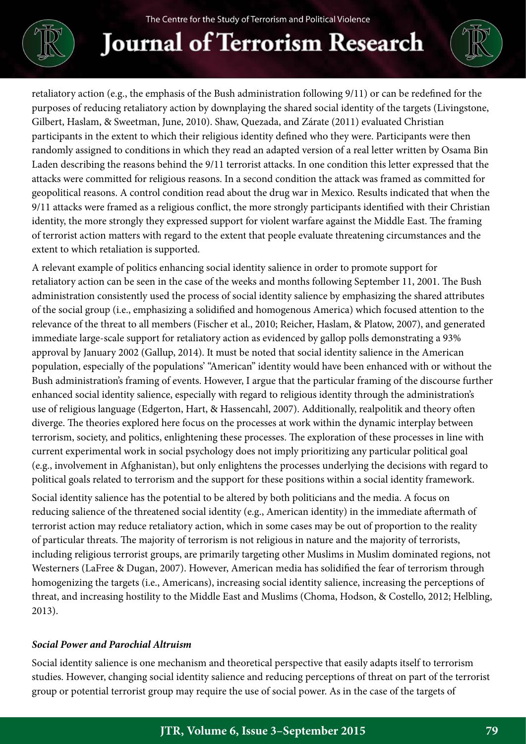# **Journal of Terrorism Research**

retaliatory action (e.g., the emphasis of the Bush administration following 9/11) or can be redefined for the purposes of reducing retaliatory action by downplaying the shared social identity of the targets (Livingstone, Gilbert, Haslam, & Sweetman, June, 2010). Shaw, Quezada, and Zárate (2011) evaluated Christian participants in the extent to which their religious identity defined who they were. Participants were then randomly assigned to conditions in which they read an adapted version of a real letter written by Osama Bin Laden describing the reasons behind the 9/11 terrorist attacks. In one condition this letter expressed that the attacks were committed for religious reasons. In a second condition the attack was framed as committed for geopolitical reasons. A control condition read about the drug war in Mexico. Results indicated that when the 9/11 attacks were framed as a religious conflict, the more strongly participants identified with their Christian identity, the more strongly they expressed support for violent warfare against the Middle East. The framing of terrorist action matters with regard to the extent that people evaluate threatening circumstances and the extent to which retaliation is supported.

A relevant example of politics enhancing social identity salience in order to promote support for retaliatory action can be seen in the case of the weeks and months following September 11, 2001. The Bush administration consistently used the process of social identity salience by emphasizing the shared attributes of the social group (i.e., emphasizing a solidified and homogenous America) which focused attention to the relevance of the threat to all members (Fischer et al., 2010; Reicher, Haslam, & Platow, 2007), and generated immediate large-scale support for retaliatory action as evidenced by gallop polls demonstrating a 93% approval by January 2002 (Gallup, 2014). It must be noted that social identity salience in the American population, especially of the populations' "American" identity would have been enhanced with or without the Bush administration's framing of events. However, I argue that the particular framing of the discourse further enhanced social identity salience, especially with regard to religious identity through the administration's use of religious language (Edgerton, Hart, & Hassencahl, 2007). Additionally, realpolitik and theory often diverge. The theories explored here focus on the processes at work within the dynamic interplay between terrorism, society, and politics, enlightening these processes. The exploration of these processes in line with current experimental work in social psychology does not imply prioritizing any particular political goal (e.g., involvement in Afghanistan), but only enlightens the processes underlying the decisions with regard to political goals related to terrorism and the support for these positions within a social identity framework.

Social identity salience has the potential to be altered by both politicians and the media. A focus on reducing salience of the threatened social identity (e.g., American identity) in the immediate aftermath of terrorist action may reduce retaliatory action, which in some cases may be out of proportion to the reality of particular threats. The majority of terrorism is not religious in nature and the majority of terrorists, including religious terrorist groups, are primarily targeting other Muslims in Muslim dominated regions, not Westerners (LaFree & Dugan, 2007). However, American media has solidified the fear of terrorism through homogenizing the targets (i.e., Americans), increasing social identity salience, increasing the perceptions of threat, and increasing hostility to the Middle East and Muslims (Choma, Hodson, & Costello, 2012; Helbling, 2013).

### *Social Power and Parochial Altruism*

Social identity salience is one mechanism and theoretical perspective that easily adapts itself to terrorism studies. However, changing social identity salience and reducing perceptions of threat on part of the terrorist group or potential terrorist group may require the use of social power. As in the case of the targets of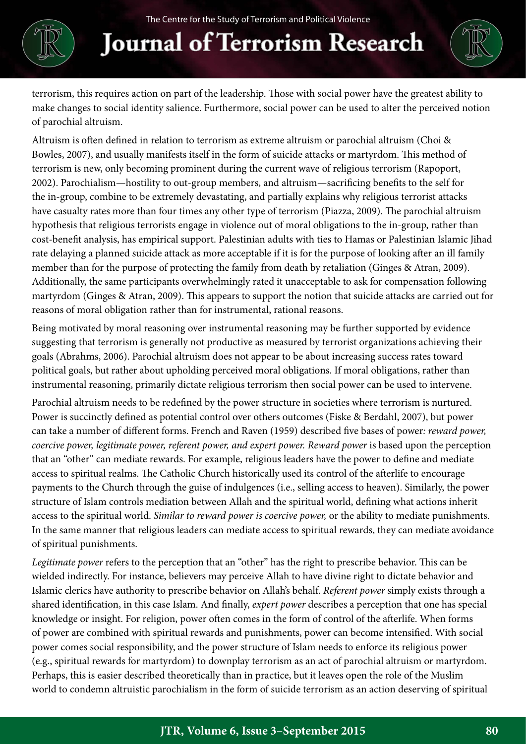# **Journal of Terrorism Research**

terrorism, this requires action on part of the leadership. Those with social power have the greatest ability to make changes to social identity salience. Furthermore, social power can be used to alter the perceived notion of parochial altruism.

Altruism is often defined in relation to terrorism as extreme altruism or parochial altruism (Choi & Bowles, 2007), and usually manifests itself in the form of suicide attacks or martyrdom. This method of terrorism is new, only becoming prominent during the current wave of religious terrorism (Rapoport, 2002). Parochialism—hostility to out-group members, and altruism—sacrificing benefits to the self for the in-group, combine to be extremely devastating, and partially explains why religious terrorist attacks have casualty rates more than four times any other type of terrorism (Piazza, 2009). The parochial altruism hypothesis that religious terrorists engage in violence out of moral obligations to the in-group, rather than cost-benefit analysis, has empirical support. Palestinian adults with ties to Hamas or Palestinian Islamic Jihad rate delaying a planned suicide attack as more acceptable if it is for the purpose of looking after an ill family member than for the purpose of protecting the family from death by retaliation (Ginges & Atran, 2009). Additionally, the same participants overwhelmingly rated it unacceptable to ask for compensation following martyrdom (Ginges & Atran, 2009). This appears to support the notion that suicide attacks are carried out for reasons of moral obligation rather than for instrumental, rational reasons.

Being motivated by moral reasoning over instrumental reasoning may be further supported by evidence suggesting that terrorism is generally not productive as measured by terrorist organizations achieving their goals (Abrahms, 2006). Parochial altruism does not appear to be about increasing success rates toward political goals, but rather about upholding perceived moral obligations. If moral obligations, rather than instrumental reasoning, primarily dictate religious terrorism then social power can be used to intervene.

Parochial altruism needs to be redefined by the power structure in societies where terrorism is nurtured. Power is succinctly defined as potential control over others outcomes (Fiske & Berdahl, 2007), but power can take a number of different forms. French and Raven (1959) described five bases of power*: reward power, coercive power, legitimate power, referent power, and expert power. Reward power is based upon the perception* that an "other" can mediate rewards. For example, religious leaders have the power to define and mediate access to spiritual realms. The Catholic Church historically used its control of the afterlife to encourage payments to the Church through the guise of indulgences (i.e., selling access to heaven). Similarly, the power structure of Islam controls mediation between Allah and the spiritual world, defining what actions inherit access to the spiritual world. *Similar to reward power is coercive power,* or the ability to mediate punishments. In the same manner that religious leaders can mediate access to spiritual rewards, they can mediate avoidance of spiritual punishments.

*Legitimate power* refers to the perception that an "other" has the right to prescribe behavior. This can be wielded indirectly. For instance, believers may perceive Allah to have divine right to dictate behavior and Islamic clerics have authority to prescribe behavior on Allah's behalf. *Referent power* simply exists through a shared identification, in this case Islam. And finally, *expert power* describes a perception that one has special knowledge or insight. For religion, power often comes in the form of control of the afterlife. When forms of power are combined with spiritual rewards and punishments, power can become intensified. With social power comes social responsibility, and the power structure of Islam needs to enforce its religious power (e.g., spiritual rewards for martyrdom) to downplay terrorism as an act of parochial altruism or martyrdom. Perhaps, this is easier described theoretically than in practice, but it leaves open the role of the Muslim world to condemn altruistic parochialism in the form of suicide terrorism as an action deserving of spiritual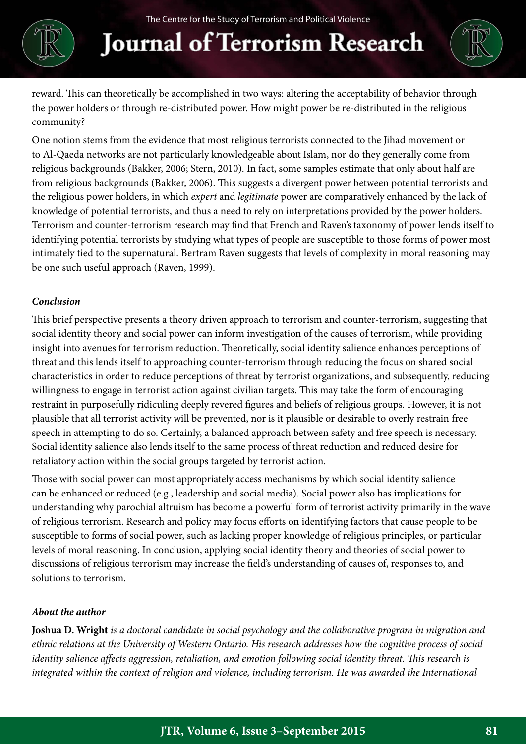### **Journal of Terrorism Research**



reward. This can theoretically be accomplished in two ways: altering the acceptability of behavior through the power holders or through re-distributed power. How might power be re-distributed in the religious community?

One notion stems from the evidence that most religious terrorists connected to the Jihad movement or to Al-Qaeda networks are not particularly knowledgeable about Islam, nor do they generally come from religious backgrounds (Bakker, 2006; Stern, 2010). In fact, some samples estimate that only about half are from religious backgrounds (Bakker, 2006). This suggests a divergent power between potential terrorists and the religious power holders, in which *expert* and *legitimate* power are comparatively enhanced by the lack of knowledge of potential terrorists, and thus a need to rely on interpretations provided by the power holders. Terrorism and counter-terrorism research may find that French and Raven's taxonomy of power lends itself to identifying potential terrorists by studying what types of people are susceptible to those forms of power most intimately tied to the supernatural. Bertram Raven suggests that levels of complexity in moral reasoning may be one such useful approach (Raven, 1999).

#### *Conclusion*

This brief perspective presents a theory driven approach to terrorism and counter-terrorism, suggesting that social identity theory and social power can inform investigation of the causes of terrorism, while providing insight into avenues for terrorism reduction. Theoretically, social identity salience enhances perceptions of threat and this lends itself to approaching counter-terrorism through reducing the focus on shared social characteristics in order to reduce perceptions of threat by terrorist organizations, and subsequently, reducing willingness to engage in terrorist action against civilian targets. This may take the form of encouraging restraint in purposefully ridiculing deeply revered figures and beliefs of religious groups. However, it is not plausible that all terrorist activity will be prevented, nor is it plausible or desirable to overly restrain free speech in attempting to do so. Certainly, a balanced approach between safety and free speech is necessary. Social identity salience also lends itself to the same process of threat reduction and reduced desire for retaliatory action within the social groups targeted by terrorist action.

Those with social power can most appropriately access mechanisms by which social identity salience can be enhanced or reduced (e.g., leadership and social media). Social power also has implications for understanding why parochial altruism has become a powerful form of terrorist activity primarily in the wave of religious terrorism. Research and policy may focus efforts on identifying factors that cause people to be susceptible to forms of social power, such as lacking proper knowledge of religious principles, or particular levels of moral reasoning. In conclusion, applying social identity theory and theories of social power to discussions of religious terrorism may increase the field's understanding of causes of, responses to, and solutions to terrorism.

#### *About the author*

**Joshua D. Wright** *is a doctoral candidate in social psychology and the collaborative program in migration and ethnic relations at the University of Western Ontario. His research addresses how the cognitive process of social identity salience affects aggression, retaliation, and emotion following social identity threat. This research is*  integrated within the context of religion and violence, including terrorism. He was awarded the International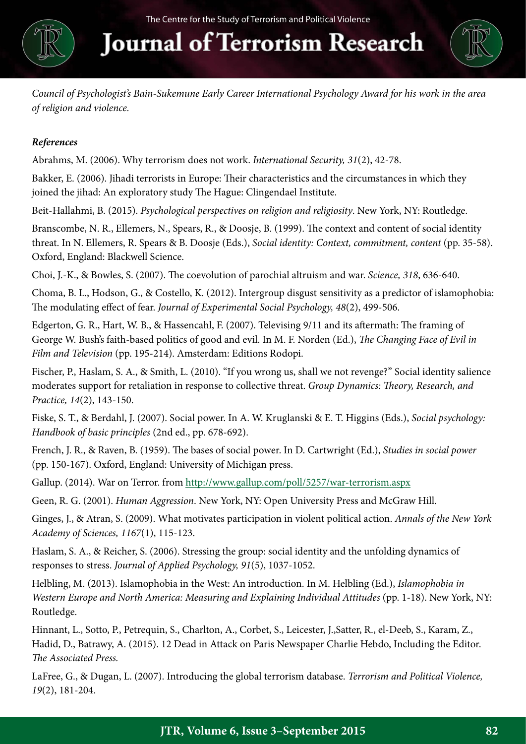

### **Journal of Terrorism Research**



*Council of Psychologist's Bain-Sukemune Early Career International Psychology Award for his work in the area of religion and violence.*

### *References*

Abrahms, M. (2006). Why terrorism does not work. *International Security, 31*(2), 42-78.

Bakker, E. (2006). Jihadi terrorists in Europe: Their characteristics and the circumstances in which they joined the jihad: An exploratory study The Hague: Clingendael Institute.

Beit-Hallahmi, B. (2015). *Psychological perspectives on religion and religiosity*. New York, NY: Routledge.

Branscombe, N. R., Ellemers, N., Spears, R., & Doosje, B. (1999). The context and content of social identity threat. In N. Ellemers, R. Spears & B. Doosje (Eds.), *Social identity: Context, commitment, content* (pp. 35-58). Oxford, England: Blackwell Science.

Choi, J.-K., & Bowles, S. (2007). The coevolution of parochial altruism and war. *Science, 318*, 636-640.

Choma, B. L., Hodson, G., & Costello, K. (2012). Intergroup disgust sensitivity as a predictor of islamophobia: The modulating effect of fear. *Journal of Experimental Social Psychology, 48*(2), 499-506.

Edgerton, G. R., Hart, W. B., & Hassencahl, F. (2007). Televising 9/11 and its aftermath: The framing of George W. Bush's faith-based politics of good and evil. In M. F. Norden (Ed.), *The Changing Face of Evil in Film and Television* (pp. 195-214). Amsterdam: Editions Rodopi.

Fischer, P., Haslam, S. A., & Smith, L. (2010). "If you wrong us, shall we not revenge?" Social identity salience moderates support for retaliation in response to collective threat. *Group Dynamics: Theory, Research, and Practice, 14*(2), 143-150.

Fiske, S. T., & Berdahl, J. (2007). Social power. In A. W. Kruglanski & E. T. Higgins (Eds.), *Social psychology: Handbook of basic principles* (2nd ed., pp. 678-692).

French, J. R., & Raven, B. (1959). The bases of social power. In D. Cartwright (Ed.), *Studies in social power* (pp. 150-167). Oxford, England: University of Michigan press.

Gallup. (2014). War on Terror. from<http://www.gallup.com/poll/5257/war-terrorism.aspx>

Geen, R. G. (2001). *Human Aggression*. New York, NY: Open University Press and McGraw Hill.

Ginges, J., & Atran, S. (2009). What motivates participation in violent political action. *Annals of the New York Academy of Sciences, 1167*(1), 115-123.

Haslam, S. A., & Reicher, S. (2006). Stressing the group: social identity and the unfolding dynamics of responses to stress. *Journal of Applied Psychology, 91*(5), 1037-1052.

Helbling, M. (2013). Islamophobia in the West: An introduction. In M. Helbling (Ed.), *Islamophobia in Western Europe and North America: Measuring and Explaining Individual Attitudes* (pp. 1-18). New York, NY: Routledge.

Hinnant, L., Sotto, P., Petrequin, S., Charlton, A., Corbet, S., Leicester, J.,Satter, R., el-Deeb, S., Karam, Z., Hadid, D., Batrawy, A. (2015). 12 Dead in Attack on Paris Newspaper Charlie Hebdo, Including the Editor. *The Associated Press.*

LaFree, G., & Dugan, L. (2007). Introducing the global terrorism database. *Terrorism and Political Violence, 19*(2), 181-204.